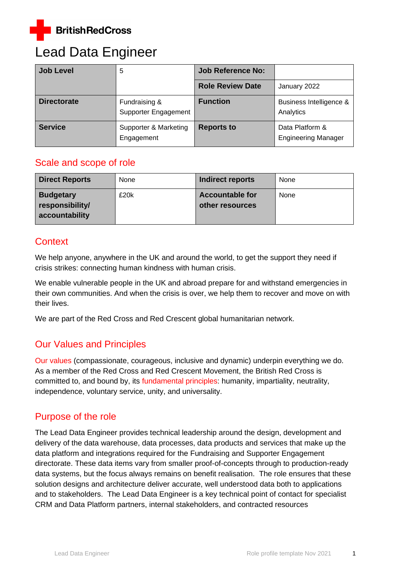

# Lead Data Engineer

| <b>Job Level</b>   | 5                                     | <b>Job Reference No:</b> |                                               |
|--------------------|---------------------------------------|--------------------------|-----------------------------------------------|
|                    |                                       | <b>Role Review Date</b>  | January 2022                                  |
| <b>Directorate</b> | Fundraising &<br>Supporter Engagement | <b>Function</b>          | Business Intelligence &<br>Analytics          |
| <b>Service</b>     | Supporter & Marketing<br>Engagement   | <b>Reports to</b>        | Data Platform &<br><b>Engineering Manager</b> |

### Scale and scope of role

| <b>Direct Reports</b>                                 | None | Indirect reports                          | None |
|-------------------------------------------------------|------|-------------------------------------------|------|
| <b>Budgetary</b><br>responsibility/<br>accountability | £20k | <b>Accountable for</b><br>other resources | None |

### **Context**

We help anyone, anywhere in the UK and around the world, to get the support they need if crisis strikes: connecting human kindness with human crisis.

We enable vulnerable people in the UK and abroad prepare for and withstand emergencies in their own communities. And when the crisis is over, we help them to recover and move on with their lives.

We are part of the Red Cross and Red Crescent global humanitarian network.

# Our Values and Principles

[Our values](http://www.redcross.org.uk/About-us/Who-we-are/Our-values) (compassionate, courageous, inclusive and dynamic) underpin everything we do. As a member of the Red Cross and Red Crescent Movement, the British Red Cross is committed to, and bound by, its [fundamental principles:](http://www.redcross.org.uk/principles) humanity, impartiality, neutrality, independence, voluntary service, unity, and universality.

# Purpose of the role

The Lead Data Engineer provides technical leadership around the design, development and delivery of the data warehouse, data processes, data products and services that make up the data platform and integrations required for the Fundraising and Supporter Engagement directorate. These data items vary from smaller proof-of-concepts through to production-ready data systems, but the focus always remains on benefit realisation. The role ensures that these solution designs and architecture deliver accurate, well understood data both to applications and to stakeholders. The Lead Data Engineer is a key technical point of contact for specialist CRM and Data Platform partners, internal stakeholders, and contracted resources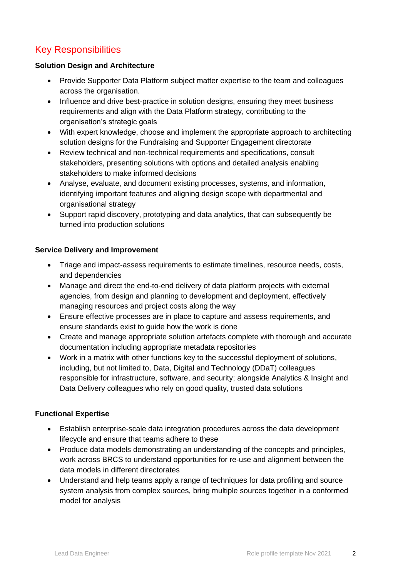# Key Responsibilities

#### **Solution Design and Architecture**

- Provide Supporter Data Platform subject matter expertise to the team and colleagues across the organisation.
- Influence and drive best-practice in solution designs, ensuring they meet business requirements and align with the Data Platform strategy, contributing to the organisation's strategic goals
- With expert knowledge, choose and implement the appropriate approach to architecting solution designs for the Fundraising and Supporter Engagement directorate
- Review technical and non-technical requirements and specifications, consult stakeholders, presenting solutions with options and detailed analysis enabling stakeholders to make informed decisions
- Analyse, evaluate, and document existing processes, systems, and information, identifying important features and aligning design scope with departmental and organisational strategy
- Support rapid discovery, prototyping and data analytics, that can subsequently be turned into production solutions

#### **Service Delivery and Improvement**

- Triage and impact-assess requirements to estimate timelines, resource needs, costs, and dependencies
- Manage and direct the end-to-end delivery of data platform projects with external agencies, from design and planning to development and deployment, effectively managing resources and project costs along the way
- Ensure effective processes are in place to capture and assess requirements, and ensure standards exist to guide how the work is done
- Create and manage appropriate solution artefacts complete with thorough and accurate documentation including appropriate metadata repositories
- Work in a matrix with other functions key to the successful deployment of solutions, including, but not limited to, Data, Digital and Technology (DDaT) colleagues responsible for infrastructure, software, and security; alongside Analytics & Insight and Data Delivery colleagues who rely on good quality, trusted data solutions

#### **Functional Expertise**

- Establish enterprise-scale data integration procedures across the data development lifecycle and ensure that teams adhere to these
- Produce data models demonstrating an understanding of the concepts and principles, work across BRCS to understand opportunities for re-use and alignment between the data models in different directorates
- Understand and help teams apply a range of techniques for data profiling and source system analysis from complex sources, bring multiple sources together in a conformed model for analysis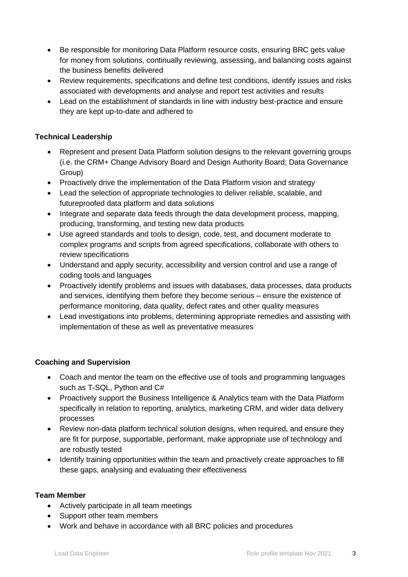- Be responsible for monitoring Data Platform resource costs, ensuring BRC gets value for money from solutions, continually reviewing, assessing, and balancing costs against the business benefits delivered
- Review requirements, specifications and define test conditions, identify issues and risks associated with developments and analyse and report test activities and results
- Lead on the establishment of standards in line with industry best-practice and ensure they are kept up-to-date and adhered to

#### **Technical Leadership**

- Represent and present Data Platform solution designs to the relevant governing groups (i.e. the CRM+ Change Advisory Board and Design Authority Board; Data Governance Group)
- Proactively drive the implementation of the Data Platform vision and strategy
- Lead the selection of appropriate technologies to deliver reliable, scalable, and futureproofed data platform and data solutions
- Integrate and separate data feeds through the data development process, mapping, producing, transforming, and testing new data products
- Use agreed standards and tools to design, code, test, and document moderate to complex programs and scripts from agreed specifications, collaborate with others to review specifications
- Understand and apply security, accessibility and version control and use a range of coding tools and languages
- Proactively identify problems and issues with databases, data processes, data products and services, identifying them before they become serious – ensure the existence of performance monitoring, data quality, defect rates and other quality measures
- Lead investigations into problems, determining appropriate remedies and assisting with implementation of these as well as preventative measures

#### **Coaching and Supervision**

- Coach and mentor the team on the effective use of tools and programming languages such as T-SQL, Python and C#
- Proactively support the Business Intelligence & Analytics team with the Data Platform specifically in relation to reporting, analytics, marketing CRM, and wider data delivery processes
- Review non-data platform technical solution designs, when required, and ensure they are fit for purpose, supportable, performant, make appropriate use of technology and are robustly tested
- Identify training opportunities within the team and proactively create approaches to fill these gaps, analysing and evaluating their effectiveness

#### **Team Member**

- Actively participate in all team meetings
- Support other team members
- Work and behave in accordance with all BRC policies and procedures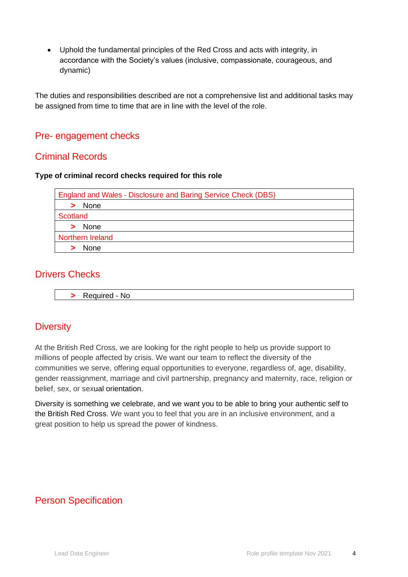• Uphold the fundamental principles of the Red Cross and acts with integrity, in accordance with the Society's values (inclusive, compassionate, courageous, and dynamic)

The duties and responsibilities described are not a comprehensive list and additional tasks may be assigned from time to time that are in line with the level of the role.

### Pre- engagement checks

### Criminal Records

#### **Type of criminal record checks required for this role**

| <b>England and Wales - Disclosure and Baring Service Check (DBS)</b> |
|----------------------------------------------------------------------|
| > None                                                               |
| Scotland                                                             |
| > None                                                               |
| Northern Ireland                                                     |
| <b>None</b>                                                          |

### Drivers Checks

**>** Required - No

# **Diversity**

At the British Red Cross, we are looking for the right people to help us provide support to millions of people affected by crisis. We want our team to reflect the diversity of the communities we serve, offering equal opportunities to everyone, regardless of, age, disability, gender reassignment, marriage and civil partnership, pregnancy and maternity, race, religion or belief, sex, or sexual orientation.

Diversity is something we celebrate, and we want you to be able to bring your authentic self to the British Red Cross. We want you to feel that you are in an inclusive environment, and a great position to help us spread the power of kindness.

# Person Specification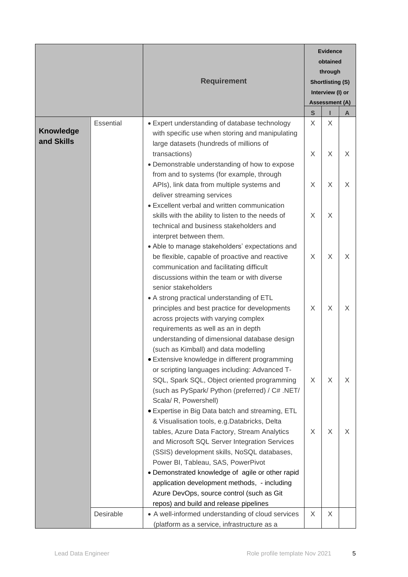|                                |           | <b>Requirement</b>                                                                                                                                                                                                                                                |              | <b>Evidence</b><br>obtained               |   |  |
|--------------------------------|-----------|-------------------------------------------------------------------------------------------------------------------------------------------------------------------------------------------------------------------------------------------------------------------|--------------|-------------------------------------------|---|--|
|                                |           |                                                                                                                                                                                                                                                                   |              | through<br><b>Shortlisting (S)</b>        |   |  |
|                                |           |                                                                                                                                                                                                                                                                   |              | Interview (I) or<br><b>Assessment (A)</b> |   |  |
|                                |           |                                                                                                                                                                                                                                                                   | $\mathbf{s}$ |                                           | A |  |
| <b>Knowledge</b><br>and Skills | Essential | • Expert understanding of database technology<br>with specific use when storing and manipulating<br>large datasets (hundreds of millions of<br>transactions)<br>• Demonstrable understanding of how to expose                                                     | X<br>X       | X<br>X                                    | X |  |
|                                |           | from and to systems (for example, through<br>APIs), link data from multiple systems and<br>deliver streaming services<br>• Excellent verbal and written communication                                                                                             | X            | X                                         | X |  |
|                                |           | skills with the ability to listen to the needs of<br>technical and business stakeholders and<br>interpret between them.                                                                                                                                           | X            | X                                         |   |  |
|                                |           | • Able to manage stakeholders' expectations and<br>be flexible, capable of proactive and reactive<br>communication and facilitating difficult<br>discussions within the team or with diverse<br>senior stakeholders                                               | X            | X                                         | X |  |
|                                |           | • A strong practical understanding of ETL<br>principles and best practice for developments<br>across projects with varying complex<br>requirements as well as an in depth<br>understanding of dimensional database design<br>(such as Kimball) and data modelling | X            | X                                         | X |  |
|                                |           | • Extensive knowledge in different programming<br>or scripting languages including: Advanced T-<br>SQL, Spark SQL, Object oriented programming<br>(such as PySpark/ Python (preferred) / C# .NET/                                                                 | X            | X                                         | X |  |
|                                |           | Scala/ R, Powershell)<br>• Expertise in Big Data batch and streaming, ETL<br>& Visualisation tools, e.g.Databricks, Delta                                                                                                                                         |              |                                           |   |  |
|                                |           | tables, Azure Data Factory, Stream Analytics<br>and Microsoft SQL Server Integration Services<br>(SSIS) development skills, NoSQL databases,<br>Power BI, Tableau, SAS, PowerPivot                                                                                | X            | X                                         | X |  |
|                                |           | • Demonstrated knowledge of agile or other rapid<br>application development methods, - including<br>Azure DevOps, source control (such as Git<br>repos) and build and release pipelines                                                                           |              |                                           |   |  |
|                                | Desirable | • A well-informed understanding of cloud services<br>(platform as a service, infrastructure as a                                                                                                                                                                  | X            | X                                         |   |  |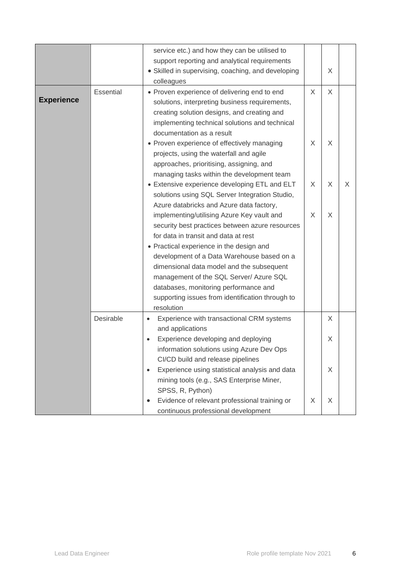|                   |           | service etc.) and how they can be utilised to<br>support reporting and analytical requirements<br>• Skilled in supervising, coaching, and developing<br>colleagues                                                           |   | X |   |
|-------------------|-----------|------------------------------------------------------------------------------------------------------------------------------------------------------------------------------------------------------------------------------|---|---|---|
| <b>Experience</b> | Essential | • Proven experience of delivering end to end<br>solutions, interpreting business requirements,<br>creating solution designs, and creating and<br>implementing technical solutions and technical<br>documentation as a result | X | X |   |
|                   |           | • Proven experience of effectively managing<br>projects, using the waterfall and agile<br>approaches, prioritising, assigning, and<br>managing tasks within the development team                                             | X | X |   |
|                   |           | • Extensive experience developing ETL and ELT<br>solutions using SQL Server Integration Studio,<br>Azure databricks and Azure data factory,                                                                                  | X | X | X |
|                   |           | implementing/utilising Azure Key vault and<br>security best practices between azure resources<br>for data in transit and data at rest                                                                                        | X | X |   |
|                   |           | • Practical experience in the design and<br>development of a Data Warehouse based on a<br>dimensional data model and the subsequent                                                                                          |   |   |   |
|                   |           | management of the SQL Server/ Azure SQL<br>databases, monitoring performance and<br>supporting issues from identification through to<br>resolution                                                                           |   |   |   |
|                   | Desirable | Experience with transactional CRM systems<br>$\bullet$                                                                                                                                                                       |   | X |   |
|                   |           | and applications<br>Experience developing and deploying<br>information solutions using Azure Dev Ops                                                                                                                         |   | X |   |
|                   |           | CI/CD build and release pipelines<br>Experience using statistical analysis and data<br>$\bullet$<br>mining tools (e.g., SAS Enterprise Miner,                                                                                |   | X |   |
|                   |           | SPSS, R, Python)<br>Evidence of relevant professional training or<br>٠<br>continuous professional development                                                                                                                | X | X |   |